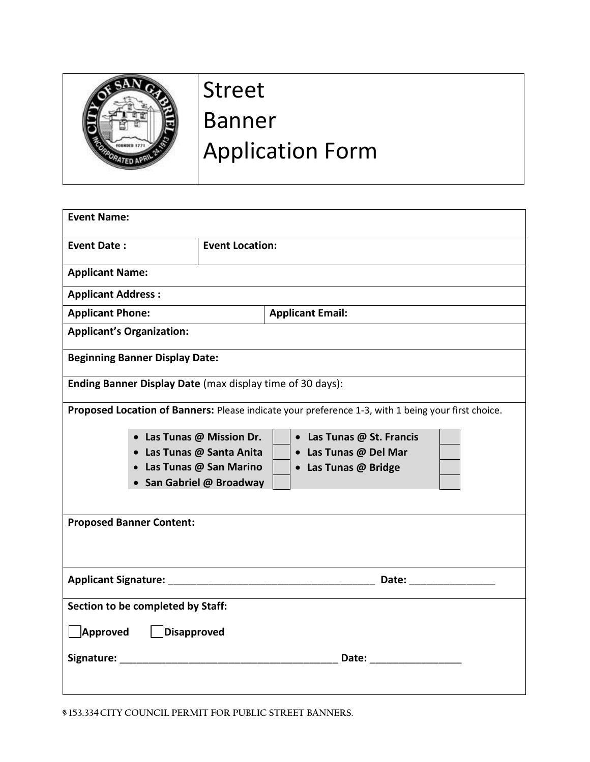

## Street Banner Application Form

| <b>Event Name:</b>                                                                                                                                           |  |                        |                         |
|--------------------------------------------------------------------------------------------------------------------------------------------------------------|--|------------------------|-------------------------|
| <b>Event Date:</b>                                                                                                                                           |  | <b>Event Location:</b> |                         |
| <b>Applicant Name:</b>                                                                                                                                       |  |                        |                         |
| <b>Applicant Address:</b>                                                                                                                                    |  |                        |                         |
| <b>Applicant Phone:</b>                                                                                                                                      |  |                        | <b>Applicant Email:</b> |
| <b>Applicant's Organization:</b>                                                                                                                             |  |                        |                         |
| <b>Beginning Banner Display Date:</b>                                                                                                                        |  |                        |                         |
| Ending Banner Display Date (max display time of 30 days):                                                                                                    |  |                        |                         |
| Proposed Location of Banners: Please indicate your preference 1-3, with 1 being your first choice.<br>• Las Tunas @ Mission Dr.<br>• Las Tunas @ St. Francis |  |                        |                         |
| • Las Tunas @ Santa Anita<br>• Las Tunas @ San Marino                                                                                                        |  |                        | • Las Tunas @ Del Mar   |
|                                                                                                                                                              |  |                        | • Las Tunas @ Bridge    |
| • San Gabriel @ Broadway                                                                                                                                     |  |                        |                         |
|                                                                                                                                                              |  |                        |                         |
| <b>Proposed Banner Content:</b>                                                                                                                              |  |                        |                         |
|                                                                                                                                                              |  |                        |                         |
| Section to be completed by Staff:                                                                                                                            |  |                        |                         |
| Approved   Disapproved                                                                                                                                       |  |                        |                         |
| Signature: The Commission of the Commission of the Commission of the Commission of the Commission of the Commission                                          |  |                        |                         |
|                                                                                                                                                              |  |                        |                         |